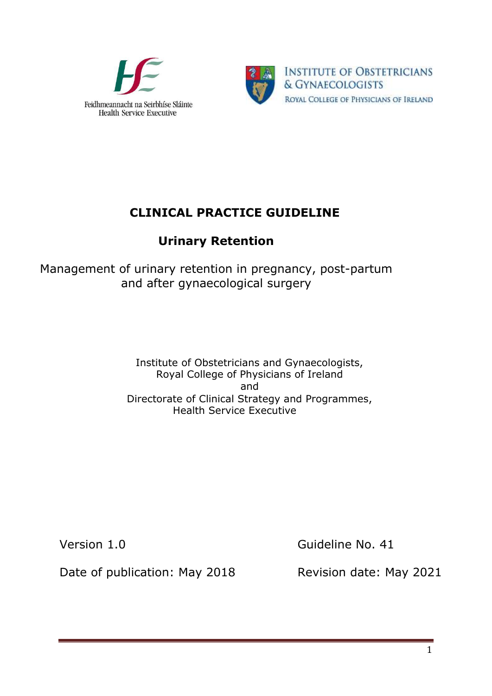



**INSTITUTE OF OBSTETRICIANS** & GYNAECOLOGISTS ROYAL COLLEGE OF PHYSICIANS OF IRELAND

# **CLINICAL PRACTICE GUIDELINE**

## **Urinary Retention**

Management of urinary retention in pregnancy, post-partum and after gynaecological surgery

> Institute of Obstetricians and Gynaecologists, Royal College of Physicians of Ireland and Directorate of Clinical Strategy and Programmes, Health Service Executive

Version 1.0 Guideline No. 41

Date of publication: May 2018 Revision date: May 2021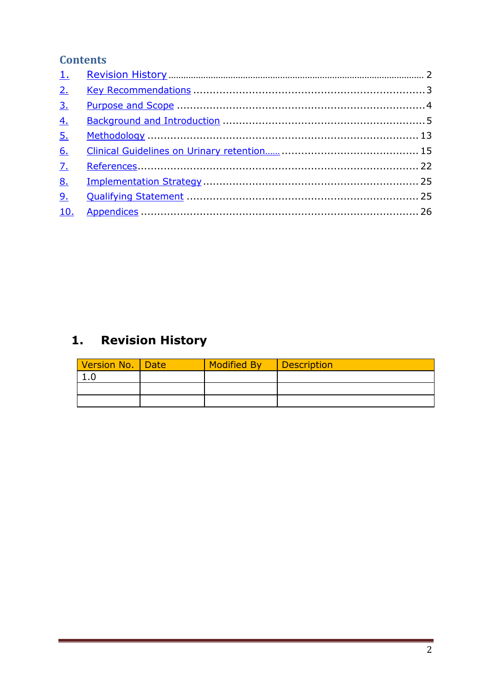#### **Contents**

| 2.               |  |
|------------------|--|
| 3.               |  |
| $\overline{4}$ . |  |
| 5 <sub>1</sub>   |  |
| 6.               |  |
| $\overline{Z}$ . |  |
| 8.               |  |
| 9 <sub>1</sub>   |  |
|                  |  |

## 1. Revision History

| Version No. Date | <b>Modified By</b> | <b>Description</b> |
|------------------|--------------------|--------------------|
|                  |                    |                    |
|                  |                    |                    |
|                  |                    |                    |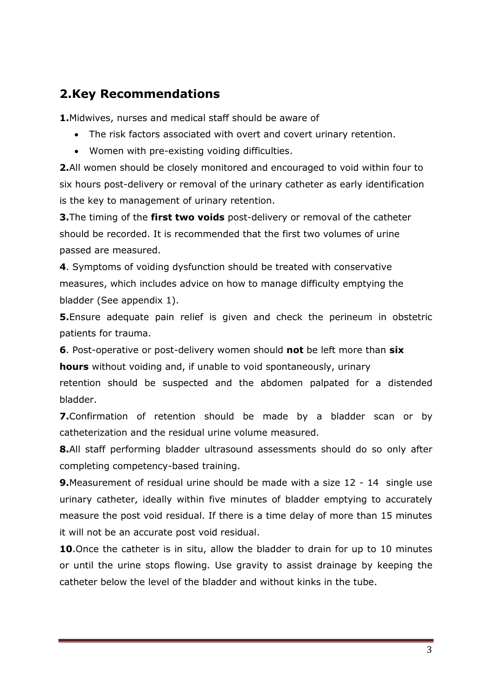#### **2.Key Recommendations**

**1.**Midwives, nurses and medical staff should be aware of

- The risk factors associated with overt and covert urinary retention.
- Women with pre-existing voiding difficulties.

**2.**All women should be closely monitored and encouraged to void within four to six hours post-delivery or removal of the urinary catheter as early identification is the key to management of urinary retention.

**3.**The timing of the **first two voids** post-delivery or removal of the catheter should be recorded. It is recommended that the first two volumes of urine passed are measured.

**4**. Symptoms of voiding dysfunction should be treated with conservative measures, which includes advice on how to manage difficulty emptying the bladder (See appendix 1).

**5.**Ensure adequate pain relief is given and check the perineum in obstetric patients for trauma.

**6**. Post-operative or post-delivery women should **not** be left more than **six hours** without voiding and, if unable to void spontaneously, urinary retention should be suspected and the abdomen palpated for a distended bladder.

**7.**Confirmation of retention should be made by a bladder scan or by catheterization and the residual urine volume measured.

**8.**All staff performing bladder ultrasound assessments should do so only after completing competency-based training.

**9.**Measurement of residual urine should be made with a size 12 - 14 single use urinary catheter, ideally within five minutes of bladder emptying to accurately measure the post void residual. If there is a time delay of more than 15 minutes it will not be an accurate post void residual.

**10**.Once the catheter is in situ, allow the bladder to drain for up to 10 minutes or until the urine stops flowing. Use gravity to assist drainage by keeping the catheter below the level of the bladder and without kinks in the tube.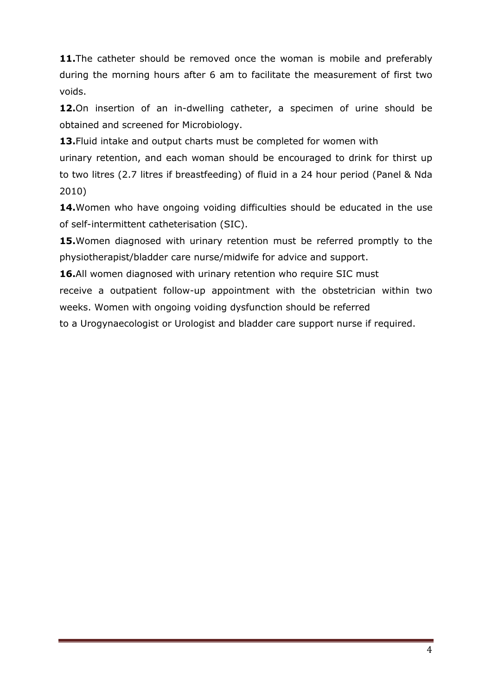**11.**The catheter should be removed once the woman is mobile and preferably during the morning hours after 6 am to facilitate the measurement of first two voids.

**12.**On insertion of an in-dwelling catheter, a specimen of urine should be obtained and screened for Microbiology.

**13.**Fluid intake and output charts must be completed for women with

urinary retention, and each woman should be encouraged to drink for thirst up to two litres (2.7 litres if breastfeeding) of fluid in a 24 hour period (Panel & Nda 2010)

**14.**Women who have ongoing voiding difficulties should be educated in the use of self-intermittent catheterisation (SIC).

**15.**Women diagnosed with urinary retention must be referred promptly to the physiotherapist/bladder care nurse/midwife for advice and support.

16.All women diagnosed with urinary retention who require SIC must

receive a outpatient follow-up appointment with the obstetrician within two weeks. Women with ongoing voiding dysfunction should be referred

to a Urogynaecologist or Urologist and bladder care support nurse if required.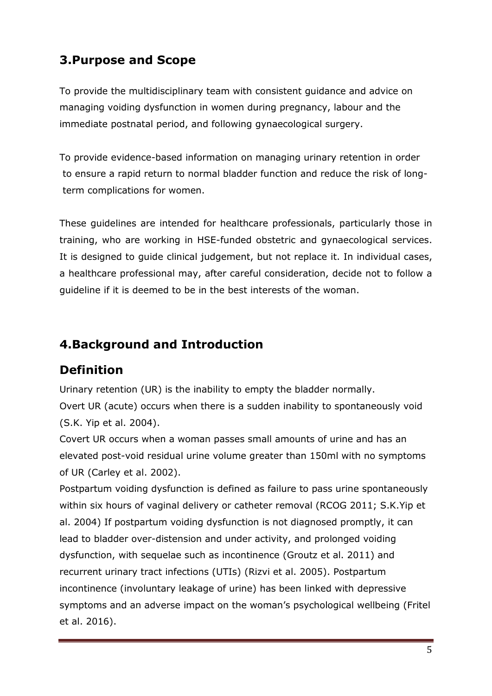## **3.Purpose and Scope**

To provide the multidisciplinary team with consistent guidance and advice on managing voiding dysfunction in women during pregnancy, labour and the immediate postnatal period, and following gynaecological surgery.

To provide evidence-based information on managing urinary retention in order to ensure a rapid return to normal bladder function and reduce the risk of longterm complications for women.

These guidelines are intended for healthcare professionals, particularly those in training, who are working in HSE-funded obstetric and gynaecological services. It is designed to guide clinical judgement, but not replace it. In individual cases, a healthcare professional may, after careful consideration, decide not to follow a guideline if it is deemed to be in the best interests of the woman.

### **4.Background and Introduction**

### **Definition**

Urinary retention (UR) is the inability to empty the bladder normally. Overt UR (acute) occurs when there is a sudden inability to spontaneously void (S.K. Yip et al. 2004).

Covert UR occurs when a woman passes small amounts of urine and has an elevated post-void residual urine volume greater than 150ml with no symptoms of UR (Carley et al. 2002).

Postpartum voiding dysfunction is defined as failure to pass urine spontaneously within six hours of vaginal delivery or catheter removal (RCOG 2011; S.K.Yip et al. 2004) If postpartum voiding dysfunction is not diagnosed promptly, it can lead to bladder over-distension and under activity, and prolonged voiding dysfunction, with sequelae such as incontinence (Groutz et al. 2011) and recurrent urinary tract infections (UTIs) (Rizvi et al. 2005). Postpartum incontinence (involuntary leakage of urine) has been linked with depressive symptoms and an adverse impact on the woman's psychological wellbeing (Fritel et al. 2016).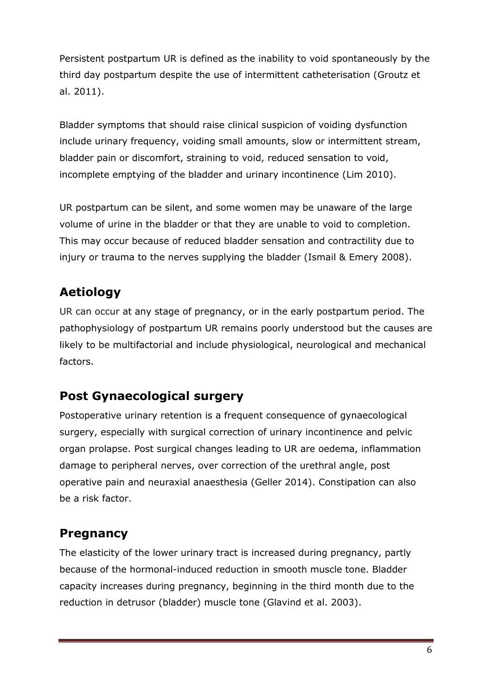Persistent postpartum UR is defined as the inability to void spontaneously by the third day postpartum despite the use of intermittent catheterisation (Groutz et al. 2011).

Bladder symptoms that should raise clinical suspicion of voiding dysfunction include urinary frequency, voiding small amounts, slow or intermittent stream, bladder pain or discomfort, straining to void, reduced sensation to void, incomplete emptying of the bladder and urinary incontinence (Lim 2010).

UR postpartum can be silent, and some women may be unaware of the large volume of urine in the bladder or that they are unable to void to completion. This may occur because of reduced bladder sensation and contractility due to injury or trauma to the nerves supplying the bladder (Ismail & Emery 2008).

## **Aetiology**

UR can occur at any stage of pregnancy, or in the early postpartum period. The pathophysiology of postpartum UR remains poorly understood but the causes are likely to be multifactorial and include physiological, neurological and mechanical factors.

## **Post Gynaecological surgery**

Postoperative urinary retention is a frequent consequence of gynaecological surgery, especially with surgical correction of urinary incontinence and pelvic organ prolapse. Post surgical changes leading to UR are oedema, inflammation damage to peripheral nerves, over correction of the urethral angle, post operative pain and neuraxial anaesthesia (Geller 2014). Constipation can also be a risk factor.

### **Pregnancy**

The elasticity of the lower urinary tract is increased during pregnancy, partly because of the hormonal-induced reduction in smooth muscle tone. Bladder capacity increases during pregnancy, beginning in the third month due to the reduction in detrusor (bladder) muscle tone (Glavind et al. 2003).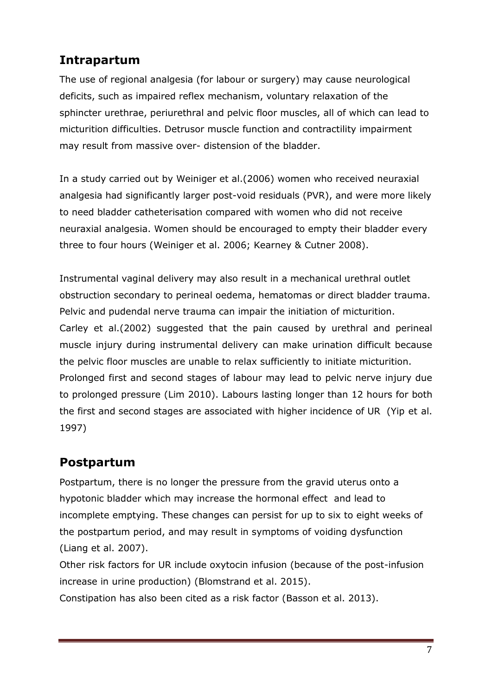## **Intrapartum**

The use of regional analgesia (for labour or surgery) may cause neurological deficits, such as impaired reflex mechanism, voluntary relaxation of the sphincter urethrae, periurethral and pelvic floor muscles, all of which can lead to micturition difficulties. Detrusor muscle function and contractility impairment may result from massive over- distension of the bladder.

In a study carried out by Weiniger et al.(2006) women who received neuraxial analgesia had significantly larger post-void residuals (PVR), and were more likely to need bladder catheterisation compared with women who did not receive neuraxial analgesia. Women should be encouraged to empty their bladder every three to four hours (Weiniger et al. 2006; Kearney & Cutner 2008).

Instrumental vaginal delivery may also result in a mechanical urethral outlet obstruction secondary to perineal oedema, hematomas or direct bladder trauma. Pelvic and pudendal nerve trauma can impair the initiation of micturition. Carley et al.(2002) suggested that the pain caused by urethral and perineal muscle injury during instrumental delivery can make urination difficult because the pelvic floor muscles are unable to relax sufficiently to initiate micturition. Prolonged first and second stages of labour may lead to pelvic nerve injury due to prolonged pressure (Lim 2010). Labours lasting longer than 12 hours for both the first and second stages are associated with higher incidence of UR (Yip et al. 1997)

## **Postpartum**

Postpartum, there is no longer the pressure from the gravid uterus onto a hypotonic bladder which may increase the hormonal effect and lead to incomplete emptying. These changes can persist for up to six to eight weeks of the postpartum period, and may result in symptoms of voiding dysfunction (Liang et al. 2007).

Other risk factors for UR include oxytocin infusion (because of the post-infusion increase in urine production) (Blomstrand et al. 2015).

Constipation has also been cited as a risk factor (Basson et al. 2013).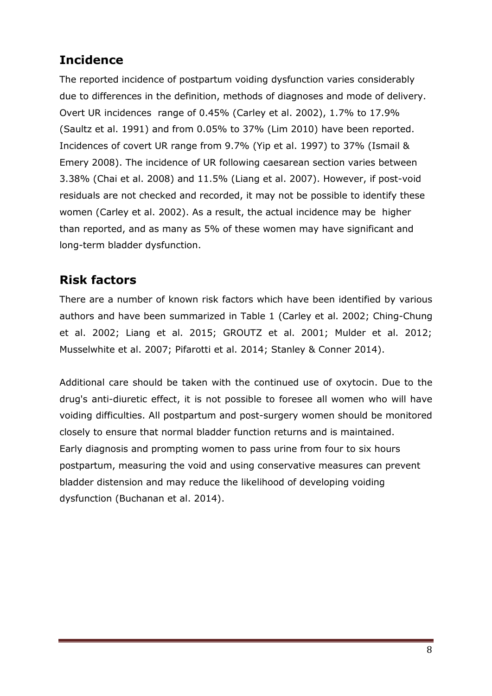## **Incidence**

The reported incidence of postpartum voiding dysfunction varies considerably due to differences in the definition, methods of diagnoses and mode of delivery. Overt UR incidences range of 0.45% (Carley et al. 2002), 1.7% to 17.9% (Saultz et al. 1991) and from 0.05% to 37% (Lim 2010) have been reported. Incidences of covert UR range from 9.7% (Yip et al. 1997) to 37% (Ismail & Emery 2008). The incidence of UR following caesarean section varies between 3.38% (Chai et al. 2008) and 11.5% (Liang et al. 2007). However, if post-void residuals are not checked and recorded, it may not be possible to identify these women (Carley et al. 2002). As a result, the actual incidence may be higher than reported, and as many as 5% of these women may have significant and long-term bladder dysfunction.

## **Risk factors**

There are a number of known risk factors which have been identified by various authors and have been summarized in Table 1 (Carley et al. 2002; Ching-Chung et al. 2002; Liang et al. 2015; GROUTZ et al. 2001; Mulder et al. 2012; Musselwhite et al. 2007; Pifarotti et al. 2014; Stanley & Conner 2014).

Additional care should be taken with the continued use of oxytocin. Due to the drug's anti-diuretic effect, it is not possible to foresee all women who will have voiding difficulties. All postpartum and post-surgery women should be monitored closely to ensure that normal bladder function returns and is maintained. Early diagnosis and prompting women to pass urine from four to six hours postpartum, measuring the void and using conservative measures can prevent bladder distension and may reduce the likelihood of developing voiding dysfunction (Buchanan et al. 2014).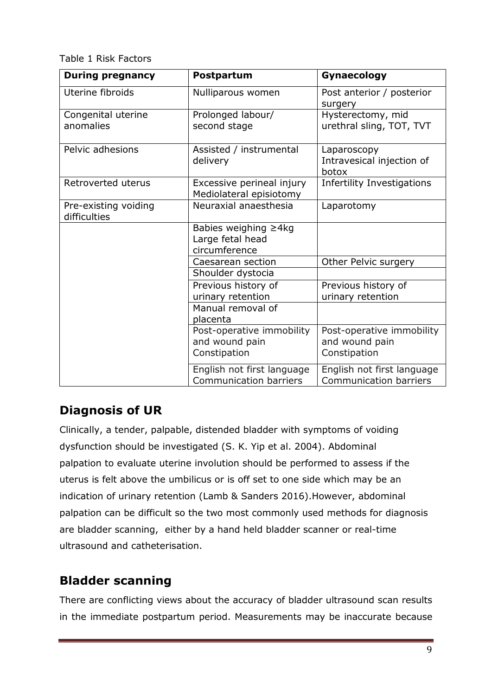Table 1 Risk Factors

| <b>During pregnancy</b>              | Postpartum                                                  | Gynaecology                                                 |
|--------------------------------------|-------------------------------------------------------------|-------------------------------------------------------------|
| Uterine fibroids                     | Nulliparous women                                           | Post anterior / posterior<br>surgery                        |
| Congenital uterine<br>anomalies      | Prolonged labour/<br>second stage                           | Hysterectomy, mid<br>urethral sling, TOT, TVT               |
| Pelvic adhesions                     | Assisted / instrumental<br>delivery                         | Laparoscopy<br>Intravesical injection of<br>botox           |
| Retroverted uterus                   | Excessive perineal injury<br>Mediolateral episiotomy        | Infertility Investigations                                  |
| Pre-existing voiding<br>difficulties | Neuraxial anaesthesia                                       | Laparotomy                                                  |
|                                      | Babies weighing ≥4kg<br>Large fetal head<br>circumference   |                                                             |
|                                      | Caesarean section                                           | Other Pelvic surgery                                        |
|                                      | Shoulder dystocia                                           |                                                             |
|                                      | Previous history of<br>urinary retention                    | Previous history of<br>urinary retention                    |
|                                      | Manual removal of<br>placenta                               |                                                             |
|                                      | Post-operative immobility<br>and wound pain<br>Constipation | Post-operative immobility<br>and wound pain<br>Constipation |
|                                      | English not first language<br><b>Communication barriers</b> | English not first language<br><b>Communication barriers</b> |

## **Diagnosis of UR**

Clinically, a tender, palpable, distended bladder with symptoms of voiding dysfunction should be investigated (S. K. Yip et al. 2004). Abdominal palpation to evaluate uterine involution should be performed to assess if the uterus is felt above the umbilicus or is off set to one side which may be an indication of urinary retention (Lamb & Sanders 2016).However, abdominal palpation can be difficult so the two most commonly used methods for diagnosis are bladder scanning, either by a hand held bladder scanner or real-time ultrasound and catheterisation.

### **Bladder scanning**

There are conflicting views about the accuracy of bladder ultrasound scan results in the immediate postpartum period. Measurements may be inaccurate because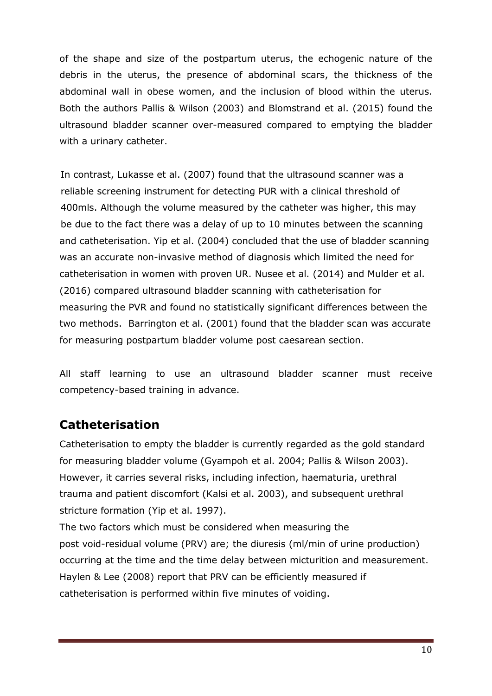of the shape and size of the postpartum uterus, the echogenic nature of the debris in the uterus, the presence of abdominal scars, the thickness of the abdominal wall in obese women, and the inclusion of blood within the uterus. Both the authors Pallis & Wilson (2003) and Blomstrand et al. (2015) found the ultrasound bladder scanner over-measured compared to emptying the bladder with a urinary catheter.

In contrast, Lukasse et al. (2007) found that the ultrasound scanner was a reliable screening instrument for detecting PUR with a clinical threshold of 400mls. Although the volume measured by the catheter was higher, this may be due to the fact there was a delay of up to 10 minutes between the scanning and catheterisation. Yip et al. (2004) concluded that the use of bladder scanning was an accurate non-invasive method of diagnosis which limited the need for catheterisation in women with proven UR. Nusee et al. (2014) and Mulder et al. (2016) compared ultrasound bladder scanning with catheterisation for measuring the PVR and found no statistically significant differences between the two methods. Barrington et al. (2001) found that the bladder scan was accurate for measuring postpartum bladder volume post caesarean section.

All staff learning to use an ultrasound bladder scanner must receive competency-based training in advance.

### **Catheterisation**

Catheterisation to empty the bladder is currently regarded as the gold standard for measuring bladder volume (Gyampoh et al. 2004; Pallis & Wilson 2003). However, it carries several risks, including infection, haematuria, urethral trauma and patient discomfort (Kalsi et al. 2003), and subsequent urethral stricture formation (Yip et al. 1997).

The two factors which must be considered when measuring the post void-residual volume (PRV) are; the diuresis (ml/min of urine production) occurring at the time and the time delay between micturition and measurement. Haylen & Lee (2008) report that PRV can be efficiently measured if catheterisation is performed within five minutes of voiding.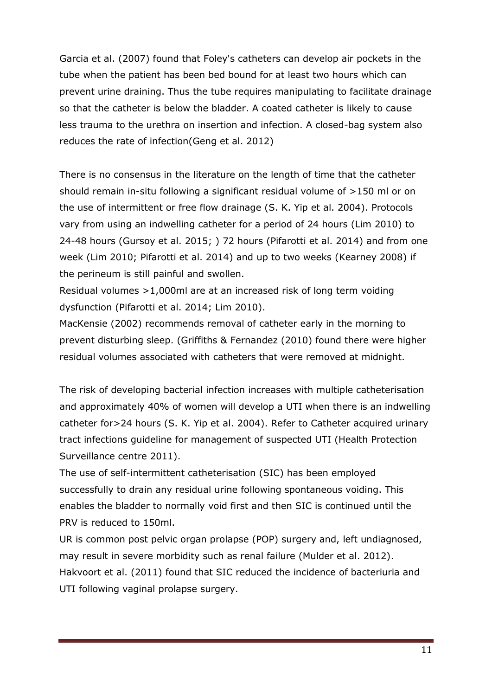Garcia et al. (2007) found that Foley's catheters can develop air pockets in the tube when the patient has been bed bound for at least two hours which can prevent urine draining. Thus the tube requires manipulating to facilitate drainage so that the catheter is below the bladder. A coated catheter is likely to cause less trauma to the urethra on insertion and infection. A closed-bag system also reduces the rate of infection(Geng et al. 2012)

There is no consensus in the literature on the length of time that the catheter should remain in-situ following a significant residual volume of >150 ml or on the use of intermittent or free flow drainage (S. K. Yip et al. 2004). Protocols vary from using an indwelling catheter for a period of 24 hours (Lim 2010) to 24-48 hours (Gursoy et al. 2015; ) 72 hours (Pifarotti et al. 2014) and from one week (Lim 2010; Pifarotti et al. 2014) and up to two weeks (Kearney 2008) if the perineum is still painful and swollen.

Residual volumes >1,000ml are at an increased risk of long term voiding dysfunction (Pifarotti et al. 2014; Lim 2010).

MacKensie (2002) recommends removal of catheter early in the morning to prevent disturbing sleep. (Griffiths & Fernandez (2010) found there were higher residual volumes associated with catheters that were removed at midnight.

The risk of developing bacterial infection increases with multiple catheterisation and approximately 40% of women will develop a UTI when there is an indwelling catheter for>24 hours (S. K. Yip et al. 2004). Refer to Catheter acquired urinary tract infections guideline for management of suspected UTI (Health Protection Surveillance centre 2011).

The use of self-intermittent catheterisation (SIC) has been employed successfully to drain any residual urine following spontaneous voiding. This enables the bladder to normally void first and then SIC is continued until the PRV is reduced to 150ml.

UR is common post pelvic organ prolapse (POP) surgery and, left undiagnosed, may result in severe morbidity such as renal failure (Mulder et al. 2012). Hakvoort et al. (2011) found that SIC reduced the incidence of bacteriuria and UTI following vaginal prolapse surgery.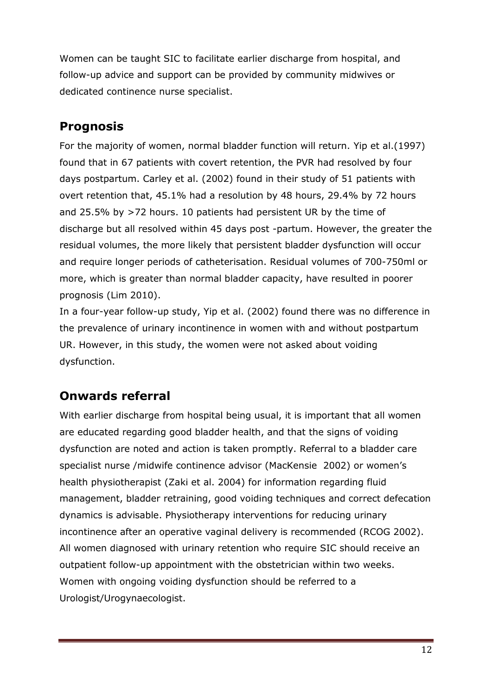Women can be taught SIC to facilitate earlier discharge from hospital, and follow-up advice and support can be provided by community midwives or dedicated continence nurse specialist.

## **Prognosis**

For the majority of women, normal bladder function will return. Yip et al.(1997) found that in 67 patients with covert retention, the PVR had resolved by four days postpartum. Carley et al. (2002) found in their study of 51 patients with overt retention that, 45.1% had a resolution by 48 hours, 29.4% by 72 hours and 25.5% by >72 hours. 10 patients had persistent UR by the time of discharge but all resolved within 45 days post -partum. However, the greater the residual volumes, the more likely that persistent bladder dysfunction will occur and require longer periods of catheterisation. Residual volumes of 700-750ml or more, which is greater than normal bladder capacity, have resulted in poorer prognosis (Lim 2010).

In a four-year follow-up study, Yip et al. (2002) found there was no difference in the prevalence of urinary incontinence in women with and without postpartum UR. However, in this study, the women were not asked about voiding dysfunction.

## **Onwards referral**

With earlier discharge from hospital being usual, it is important that all women are educated regarding good bladder health, and that the signs of voiding dysfunction are noted and action is taken promptly. Referral to a bladder care specialist nurse /midwife continence advisor (MacKensie 2002) or women's health physiotherapist (Zaki et al. 2004) for information regarding fluid management, bladder retraining, good voiding techniques and correct defecation dynamics is advisable. Physiotherapy interventions for reducing urinary incontinence after an operative vaginal delivery is recommended (RCOG 2002). All women diagnosed with urinary retention who require SIC should receive an outpatient follow-up appointment with the obstetrician within two weeks. Women with ongoing voiding dysfunction should be referred to a Urologist/Urogynaecologist.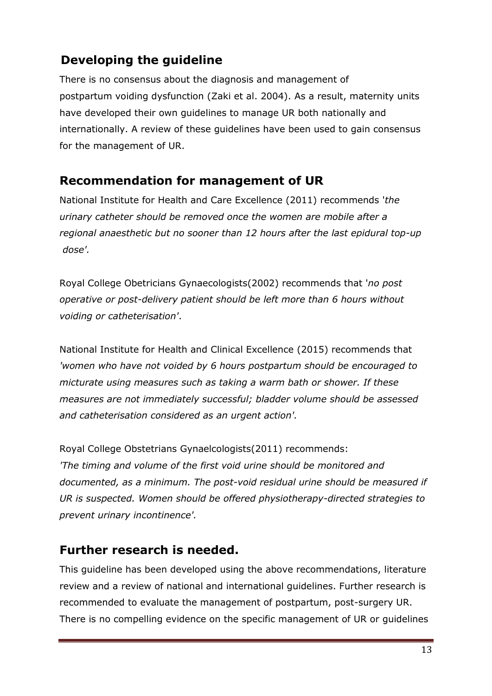## **Developing the guideline**

There is no consensus about the diagnosis and management of postpartum voiding dysfunction (Zaki et al. 2004). As a result, maternity units have developed their own guidelines to manage UR both nationally and internationally. A review of these guidelines have been used to gain consensus for the management of UR.

## **Recommendation for management of UR**

National Institute for Health and Care Excellence (2011) recommends '*the urinary catheter should be removed once the women are mobile after a regional anaesthetic but no sooner than 12 hours after the last epidural top-up dose'.*

Royal College Obetricians Gynaecologists(2002) recommends that '*no post operative or post-delivery patient should be left more than 6 hours without voiding or catheterisation'*.

National Institute for Health and Clinical Excellence (2015) recommends that *'women who have not voided by 6 hours postpartum should be encouraged to micturate using measures such as taking a warm bath or shower. If these measures are not immediately successful; bladder volume should be assessed and catheterisation considered as an urgent action'.*

Royal College Obstetrians Gynaelcologists(2011) recommends: *'The timing and volume of the first void urine should be monitored and documented, as a minimum. The post-void residual urine should be measured if UR is suspected. Women should be offered physiotherapy-directed strategies to prevent urinary incontinence'.* 

#### **Further research is needed.**

This guideline has been developed using the above recommendations, literature review and a review of national and international guidelines. Further research is recommended to evaluate the management of postpartum, post-surgery UR. There is no compelling evidence on the specific management of UR or guidelines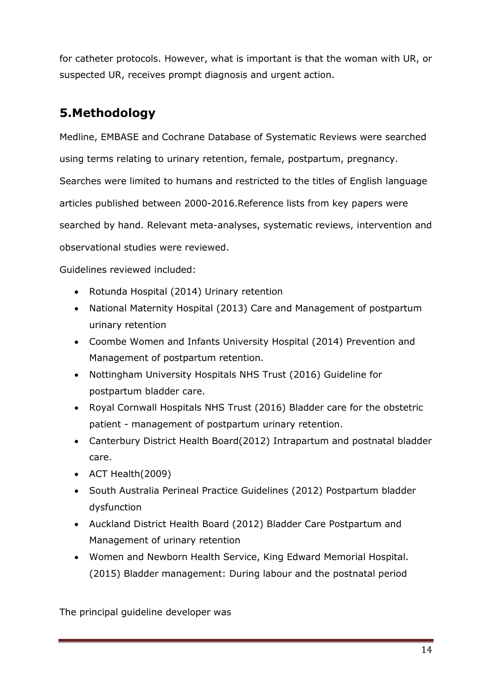for catheter protocols. However, what is important is that the woman with UR, or suspected UR, receives prompt diagnosis and urgent action.

## **5.Methodology**

Medline, EMBASE and Cochrane Database of Systematic Reviews were searched using terms relating to urinary retention, female, postpartum, pregnancy. Searches were limited to humans and restricted to the titles of English language articles published between 2000-2016.Reference lists from key papers were searched by hand. Relevant meta-analyses, systematic reviews, intervention and observational studies were reviewed.

Guidelines reviewed included:

- Rotunda Hospital (2014) Urinary retention
- National Maternity Hospital (2013) Care and Management of postpartum urinary retention
- Coombe Women and Infants University Hospital (2014) Prevention and Management of postpartum retention.
- Nottingham University Hospitals NHS Trust (2016) Guideline for postpartum bladder care.
- Royal Cornwall Hospitals NHS Trust (2016) Bladder care for the obstetric patient - management of postpartum urinary retention.
- Canterbury District Health Board(2012) Intrapartum and postnatal bladder care.
- ACT Health(2009)
- South Australia Perineal Practice Guidelines (2012) Postpartum bladder dysfunction
- Auckland District Health Board (2012) Bladder Care Postpartum and Management of urinary retention
- Women and Newborn Health Service, King Edward Memorial Hospital. (2015) Bladder management: During labour and the postnatal period

The principal guideline developer was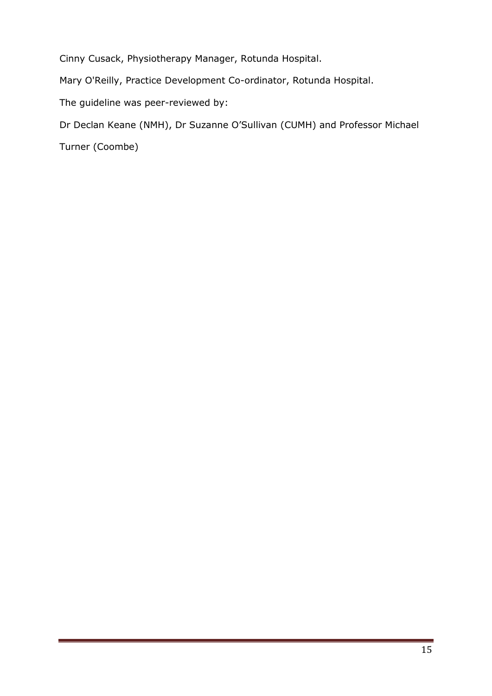Cinny Cusack, Physiotherapy Manager, Rotunda Hospital.

Mary O'Reilly, Practice Development Co-ordinator, Rotunda Hospital.

The guideline was peer-reviewed by:

Dr Declan Keane (NMH), Dr Suzanne O'Sullivan (CUMH) and Professor Michael

Turner (Coombe)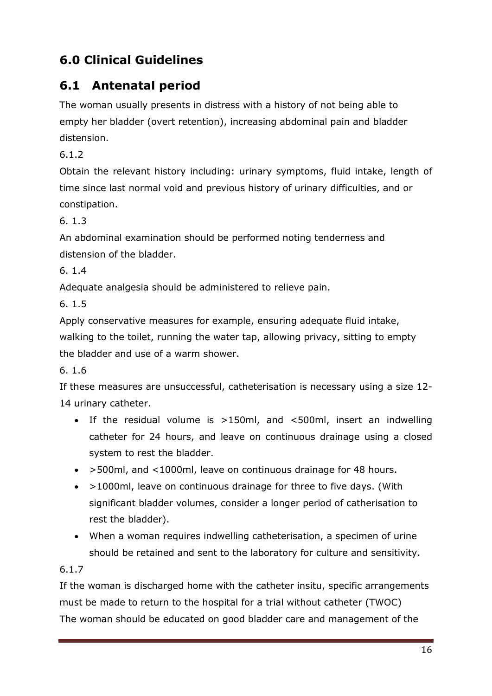# **6.0 Clinical Guidelines**

## **6.1 Antenatal period**

The woman usually presents in distress with a history of not being able to empty her bladder (overt retention), increasing abdominal pain and bladder distension.

6.1.2

Obtain the relevant history including: urinary symptoms, fluid intake, length of time since last normal void and previous history of urinary difficulties, and or constipation.

6. 1.3

An abdominal examination should be performed noting tenderness and distension of the bladder.

6. 1.4

Adequate analgesia should be administered to relieve pain.

6. 1.5

Apply conservative measures for example, ensuring adequate fluid intake, walking to the toilet, running the water tap, allowing privacy, sitting to empty the bladder and use of a warm shower.

6. 1.6

If these measures are unsuccessful, catheterisation is necessary using a size 12- 14 urinary catheter.

- If the residual volume is >150ml, and <500ml, insert an indwelling catheter for 24 hours, and leave on continuous drainage using a closed system to rest the bladder.
- >500ml, and <1000ml, leave on continuous drainage for 48 hours.
- >1000ml, leave on continuous drainage for three to five days. (With significant bladder volumes, consider a longer period of catherisation to rest the bladder).
- When a woman requires indwelling catheterisation, a specimen of urine should be retained and sent to the laboratory for culture and sensitivity.

#### 6.1.7

If the woman is discharged home with the catheter insitu, specific arrangements must be made to return to the hospital for a trial without catheter (TWOC) The woman should be educated on good bladder care and management of the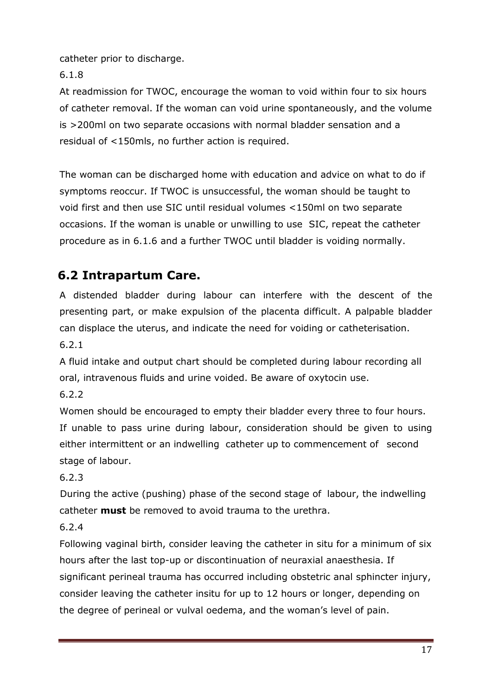catheter prior to discharge.

6.1.8

At readmission for TWOC, encourage the woman to void within four to six hours of catheter removal. If the woman can void urine spontaneously, and the volume is >200ml on two separate occasions with normal bladder sensation and a residual of <150mls, no further action is required.

The woman can be discharged home with education and advice on what to do if symptoms reoccur. If TWOC is unsuccessful, the woman should be taught to void first and then use SIC until residual volumes <150ml on two separate occasions. If the woman is unable or unwilling to use SIC, repeat the catheter procedure as in 6.1.6 and a further TWOC until bladder is voiding normally.

## **6.2 Intrapartum Care.**

A distended bladder during labour can interfere with the descent of the presenting part, or make expulsion of the placenta difficult. A palpable bladder can displace the uterus, and indicate the need for voiding or catheterisation.

6.2.1

A fluid intake and output chart should be completed during labour recording all oral, intravenous fluids and urine voided. Be aware of oxytocin use.

6.2.2

Women should be encouraged to empty their bladder every three to four hours. If unable to pass urine during labour, consideration should be given to using either intermittent or an indwelling catheter up to commencement of second stage of labour.

6.2.3

 During the active (pushing) phase of the second stage of labour, the indwelling catheter **must** be removed to avoid trauma to the urethra.

#### 6.2.4

Following vaginal birth, consider leaving the catheter in situ for a minimum of six hours after the last top-up or discontinuation of neuraxial anaesthesia. If significant perineal trauma has occurred including obstetric anal sphincter injury, consider leaving the catheter insitu for up to 12 hours or longer, depending on the degree of perineal or vulval oedema, and the woman's level of pain.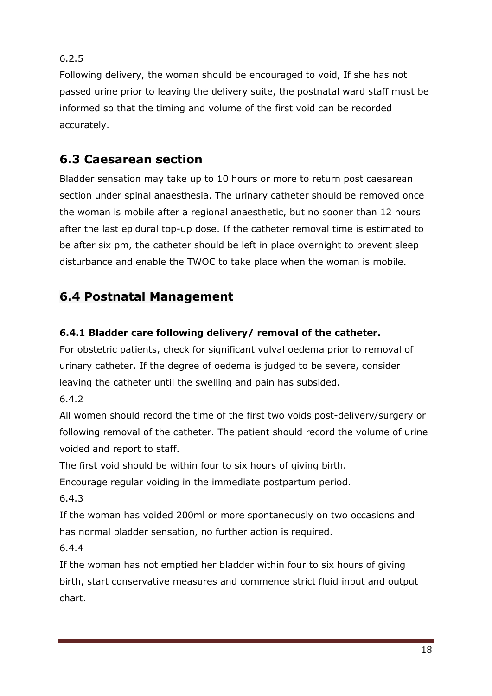6.2.5

Following delivery, the woman should be encouraged to void, If she has not passed urine prior to leaving the delivery suite, the postnatal ward staff must be informed so that the timing and volume of the first void can be recorded accurately.

# **6.3 Caesarean section**

Bladder sensation may take up to 10 hours or more to return post caesarean section under spinal anaesthesia. The urinary catheter should be removed once the woman is mobile after a regional anaesthetic, but no sooner than 12 hours after the last epidural top-up dose. If the catheter removal time is estimated to be after six pm, the catheter should be left in place overnight to prevent sleep disturbance and enable the TWOC to take place when the woman is mobile.

# **6.4 Postnatal Management**

### **6.4.1 Bladder care following delivery/ removal of the catheter.**

For obstetric patients, check for significant vulval oedema prior to removal of urinary catheter. If the degree of oedema is judged to be severe, consider leaving the catheter until the swelling and pain has subsided.

6.4.2

All women should record the time of the first two voids post-delivery/surgery or following removal of the catheter. The patient should record the volume of urine voided and report to staff.

The first void should be within four to six hours of giving birth.

Encourage regular voiding in the immediate postpartum period.

6.4.3

If the woman has voided 200ml or more spontaneously on two occasions and has normal bladder sensation, no further action is required.

6.4.4

If the woman has not emptied her bladder within four to six hours of giving birth, start conservative measures and commence strict fluid input and output chart.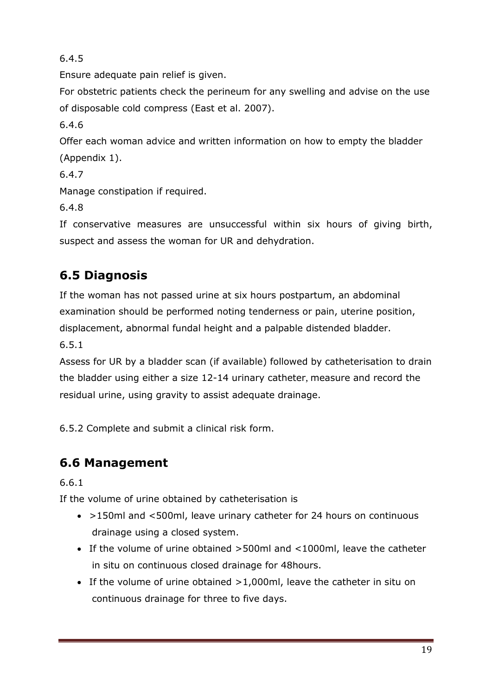6.4.5

Ensure adequate pain relief is given.

For obstetric patients check the perineum for any swelling and advise on the use of disposable cold compress (East et al. 2007).

6.4.6

Offer each woman advice and written information on how to empty the bladder (Appendix 1).

6.4.7

Manage constipation if required.

6.4.8

If conservative measures are unsuccessful within six hours of giving birth, suspect and assess the woman for UR and dehydration.

# **6.5 Diagnosis**

If the woman has not passed urine at six hours postpartum, an abdominal examination should be performed noting tenderness or pain, uterine position, displacement, abnormal fundal height and a palpable distended bladder.

6.5.1

Assess for UR by a bladder scan (if available) followed by catheterisation to drain the bladder using either a size 12-14 urinary catheter, measure and record the residual urine, using gravity to assist adequate drainage.

6.5.2 Complete and submit a clinical risk form.

# **6.6 Management**

6.6.1

If the volume of urine obtained by catheterisation is

- >150ml and <500ml, leave urinary catheter for 24 hours on continuous drainage using a closed system.
- If the volume of urine obtained >500ml and <1000ml, leave the catheter in situ on continuous closed drainage for 48hours.
- If the volume of urine obtained >1,000ml, leave the catheter in situ on continuous drainage for three to five days.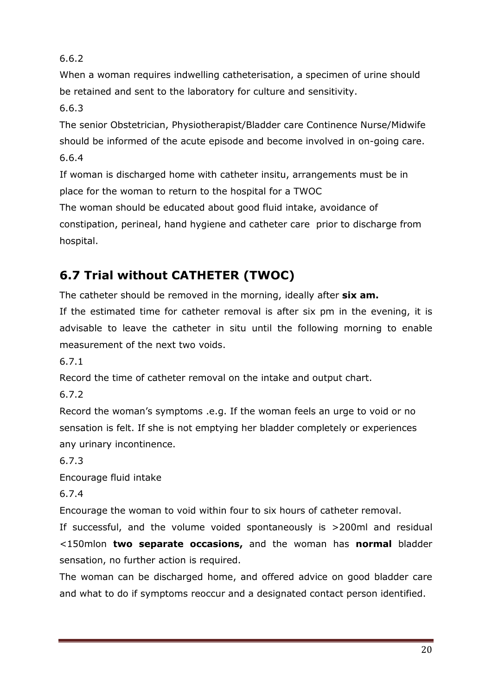6.6.2

When a woman requires indwelling catheterisation, a specimen of urine should be retained and sent to the laboratory for culture and sensitivity.

6.6.3

The senior Obstetrician, Physiotherapist/Bladder care Continence Nurse/Midwife should be informed of the acute episode and become involved in on-going care. 6.6.4

If woman is discharged home with catheter insitu, arrangements must be in place for the woman to return to the hospital for a TWOC

The woman should be educated about good fluid intake, avoidance of constipation, perineal, hand hygiene and catheter care prior to discharge from hospital.

# **6.7 Trial without CATHETER (TWOC)**

The catheter should be removed in the morning, ideally after **six am.**

If the estimated time for catheter removal is after six pm in the evening, it is advisable to leave the catheter in situ until the following morning to enable measurement of the next two voids.

6.7.1

Record the time of catheter removal on the intake and output chart.

6.7.2

Record the woman's symptoms .e.g. If the woman feels an urge to void or no sensation is felt. If she is not emptying her bladder completely or experiences any urinary incontinence.

6.7.3

Encourage fluid intake

6.7.4

Encourage the woman to void within four to six hours of catheter removal.

If successful, and the volume voided spontaneously is >200ml and residual <150mlon **two separate occasions,** and the woman has **normal** bladder sensation, no further action is required.

The woman can be discharged home, and offered advice on good bladder care and what to do if symptoms reoccur and a designated contact person identified.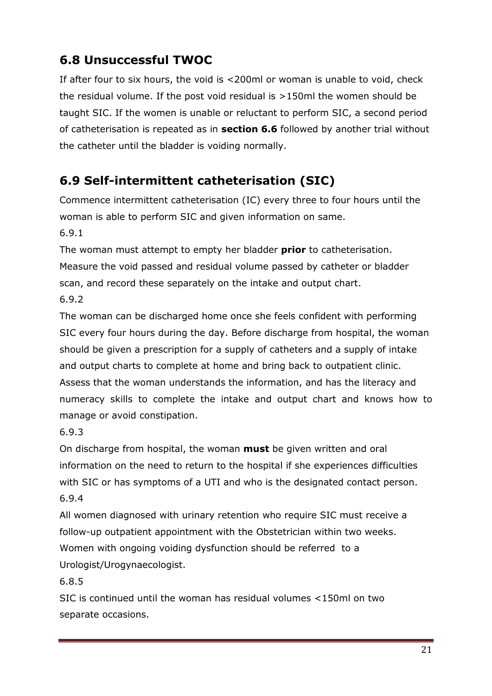## **6.8 Unsuccessful TWOC**

If after four to six hours, the void is <200ml or woman is unable to void, check the residual volume. If the post void residual is >150ml the women should be taught SIC. If the women is unable or reluctant to perform SIC, a second period of catheterisation is repeated as in **section 6.6** followed by another trial without the catheter until the bladder is voiding normally.

## **6.9 Self-intermittent catheterisation (SIC)**

Commence intermittent catheterisation (IC) every three to four hours until the woman is able to perform SIC and given information on same. 6.9.1

The woman must attempt to empty her bladder **prior** to catheterisation. Measure the void passed and residual volume passed by catheter or bladder scan, and record these separately on the intake and output chart.

6.9.2

The woman can be discharged home once she feels confident with performing SIC every four hours during the day. Before discharge from hospital, the woman should be given a prescription for a supply of catheters and a supply of intake and output charts to complete at home and bring back to outpatient clinic. Assess that the woman understands the information, and has the literacy and numeracy skills to complete the intake and output chart and knows how to manage or avoid constipation.

6.9.3

On discharge from hospital, the woman **must** be given written and oral information on the need to return to the hospital if she experiences difficulties with SIC or has symptoms of a UTI and who is the designated contact person. 6.9.4

All women diagnosed with urinary retention who require SIC must receive a follow-up outpatient appointment with the Obstetrician within two weeks. Women with ongoing voiding dysfunction should be referred to a Urologist/Urogynaecologist.

6.8.5

SIC is continued until the woman has residual volumes <150ml on two separate occasions.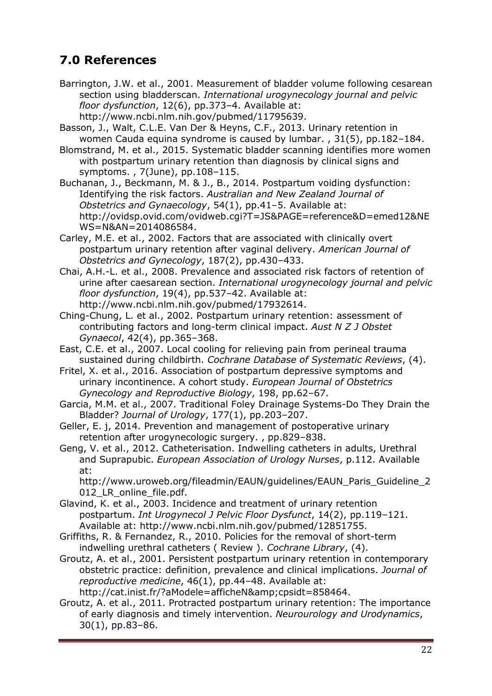## **7.0 References**

- Barrington, J.W. et al., 2001. Measurement of bladder volume following cesarean section using bladderscan. *International urogynecology journal and pelvic floor dysfunction*, 12(6), pp.373–4. Available at: http://www.ncbi.nlm.nih.gov/pubmed/11795639.
- Basson, J., Walt, C.L.E. Van Der & Heyns, C.F., 2013. Urinary retention in women Cauda equina syndrome is caused by lumbar. , 31(5), pp.182–184.
- Blomstrand, M. et al., 2015. Systematic bladder scanning identifies more women with postpartum urinary retention than diagnosis by clinical signs and symptoms. , 7(June), pp.108–115.
- Buchanan, J., Beckmann, M. & J., B., 2014. Postpartum voiding dysfunction: Identifying the risk factors. *Australian and New Zealand Journal of Obstetrics and Gynaecology*, 54(1), pp.41–5. Available at: http://ovidsp.ovid.com/ovidweb.cgi?T=JS&PAGE=reference&D=emed12&NE WS=N&AN=2014086584.
- Carley, M.E. et al., 2002. Factors that are associated with clinically overt postpartum urinary retention after vaginal delivery. *American Journal of Obstetrics and Gynecology*, 187(2), pp.430–433.
- Chai, A.H.-L. et al., 2008. Prevalence and associated risk factors of retention of urine after caesarean section. *International urogynecology journal and pelvic floor dysfunction*, 19(4), pp.537–42. Available at: http://www.ncbi.nlm.nih.gov/pubmed/17932614.
- Ching-Chung, L. et al., 2002. Postpartum urinary retention: assessment of contributing factors and long-term clinical impact. *Aust N Z J Obstet Gynaecol*, 42(4), pp.365–368.
- East, C.E. et al., 2007. Local cooling for relieving pain from perineal trauma sustained during childbirth. *Cochrane Database of Systematic Reviews*, (4).
- Fritel, X. et al., 2016. Association of postpartum depressive symptoms and urinary incontinence. A cohort study. *European Journal of Obstetrics Gynecology and Reproductive Biology*, 198, pp.62–67.
- Garcia, M.M. et al., 2007. Traditional Foley Drainage Systems-Do They Drain the Bladder? *Journal of Urology*, 177(1), pp.203–207.
- Geller, E. j, 2014. Prevention and management of postoperative urinary retention after urogynecologic surgery. , pp.829–838.
- Geng, V. et al., 2012. Catheterisation. Indwelling catheters in adults, Urethral and Suprapubic. *European Association of Urology Nurses*, p.112. Available at:

http://www.uroweb.org/fileadmin/EAUN/guidelines/EAUN\_Paris\_Guideline\_2 012\_LR\_online\_file.pdf.

- Glavind, K. et al., 2003. Incidence and treatment of urinary retention postpartum. *Int Urogynecol J Pelvic Floor Dysfunct*, 14(2), pp.119–121. Available at: http://www.ncbi.nlm.nih.gov/pubmed/12851755.
- Griffiths, R. & Fernandez, R., 2010. Policies for the removal of short-term indwelling urethral catheters ( Review ). *Cochrane Library*, (4).
- Groutz, A. et al., 2001. Persistent postpartum urinary retention in contemporary obstetric practice: definition, prevalence and clinical implications. *Journal of reproductive medicine*, 46(1), pp.44–48. Available at: http://cat.inist.fr/?aModele=afficheN&cpsidt=858464.
- Groutz, A. et al., 2011. Protracted postpartum urinary retention: The importance of early diagnosis and timely intervention. *Neurourology and Urodynamics*, 30(1), pp.83–86.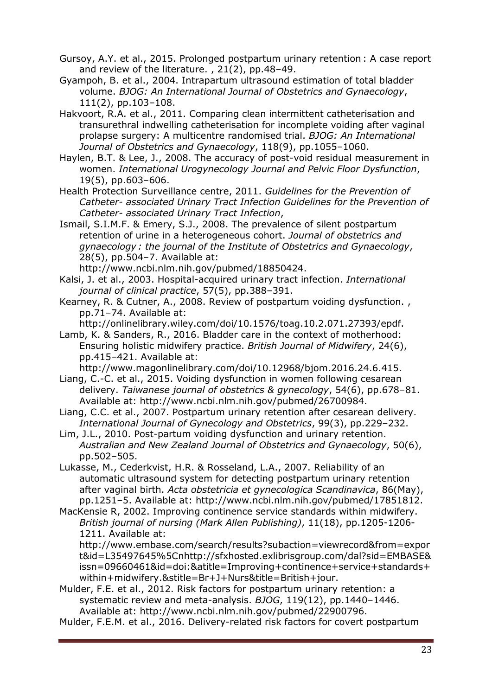Gursoy, A.Y. et al., 2015. Prolonged postpartum urinary retention : A case report and review of the literature. , 21(2), pp.48–49.

Gyampoh, B. et al., 2004. Intrapartum ultrasound estimation of total bladder volume. *BJOG: An International Journal of Obstetrics and Gynaecology*, 111(2), pp.103–108.

Hakvoort, R.A. et al., 2011. Comparing clean intermittent catheterisation and transurethral indwelling catheterisation for incomplete voiding after vaginal prolapse surgery: A multicentre randomised trial. *BJOG: An International Journal of Obstetrics and Gynaecology*, 118(9), pp.1055–1060.

Haylen, B.T. & Lee, J., 2008. The accuracy of post-void residual measurement in women. *International Urogynecology Journal and Pelvic Floor Dysfunction*, 19(5), pp.603–606.

Health Protection Surveillance centre, 2011. *Guidelines for the Prevention of Catheter- associated Urinary Tract Infection Guidelines for the Prevention of Catheter- associated Urinary Tract Infection*,

Ismail, S.I.M.F. & Emery, S.J., 2008. The prevalence of silent postpartum retention of urine in a heterogeneous cohort. *Journal of obstetrics and gynaecology : the journal of the Institute of Obstetrics and Gynaecology*, 28(5), pp.504–7. Available at:

http://www.ncbi.nlm.nih.gov/pubmed/18850424.

Kalsi, J. et al., 2003. Hospital-acquired urinary tract infection. *International journal of clinical practice*, 57(5), pp.388–391.

Kearney, R. & Cutner, A., 2008. Review of postpartum voiding dysfunction. , pp.71–74. Available at:

http://onlinelibrary.wiley.com/doi/10.1576/toag.10.2.071.27393/epdf.

Lamb, K. & Sanders, R., 2016. Bladder care in the context of motherhood: Ensuring holistic midwifery practice. *British Journal of Midwifery*, 24(6), pp.415–421. Available at:

http://www.magonlinelibrary.com/doi/10.12968/bjom.2016.24.6.415.

Liang, C.-C. et al., 2015. Voiding dysfunction in women following cesarean delivery. *Taiwanese journal of obstetrics & gynecology*, 54(6), pp.678–81. Available at: http://www.ncbi.nlm.nih.gov/pubmed/26700984.

Liang, C.C. et al., 2007. Postpartum urinary retention after cesarean delivery. *International Journal of Gynecology and Obstetrics*, 99(3), pp.229–232.

Lim, J.L., 2010. Post-partum voiding dysfunction and urinary retention. *Australian and New Zealand Journal of Obstetrics and Gynaecology*, 50(6), pp.502–505.

Lukasse, M., Cederkvist, H.R. & Rosseland, L.A., 2007. Reliability of an automatic ultrasound system for detecting postpartum urinary retention after vaginal birth. *Acta obstetricia et gynecologica Scandinavica*, 86(May), pp.1251–5. Available at: http://www.ncbi.nlm.nih.gov/pubmed/17851812.

MacKensie R, 2002. Improving continence service standards within midwifery. *British journal of nursing (Mark Allen Publishing)*, 11(18), pp.1205-1206- 1211. Available at:

http://www.embase.com/search/results?subaction=viewrecord&from=expor t&id=L35497645%5Cnhttp://sfxhosted.exlibrisgroup.com/dal?sid=EMBASE& issn=09660461&id=doi:&atitle=Improving+continence+service+standards+ within+midwifery.&stitle=Br+J+Nurs&title=British+jour.

Mulder, F.E. et al., 2012. Risk factors for postpartum urinary retention: a systematic review and meta-analysis. *BJOG*, 119(12), pp.1440–1446. Available at: http://www.ncbi.nlm.nih.gov/pubmed/22900796.

Mulder, F.E.M. et al., 2016. Delivery-related risk factors for covert postpartum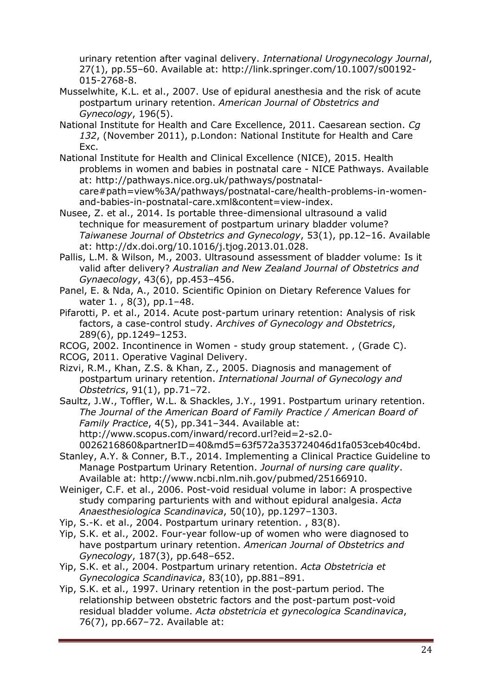urinary retention after vaginal delivery. *International Urogynecology Journal*, 27(1), pp.55–60. Available at: http://link.springer.com/10.1007/s00192- 015-2768-8.

- Musselwhite, K.L. et al., 2007. Use of epidural anesthesia and the risk of acute postpartum urinary retention. *American Journal of Obstetrics and Gynecology*, 196(5).
- National Institute for Health and Care Excellence, 2011. Caesarean section. *Cg 132*, (November 2011), p.London: National Institute for Health and Care Exc.
- National Institute for Health and Clinical Excellence (NICE), 2015. Health problems in women and babies in postnatal care - NICE Pathways. Available at: http://pathways.nice.org.uk/pathways/postnatalcare#path=view%3A/pathways/postnatal-care/health-problems-in-women-
- and-babies-in-postnatal-care.xml&content=view-index. Nusee, Z. et al., 2014. Is portable three-dimensional ultrasound a valid technique for measurement of postpartum urinary bladder volume? *Taiwanese Journal of Obstetrics and Gynecology*, 53(1), pp.12–16. Available at: http://dx.doi.org/10.1016/j.tjog.2013.01.028.
- Pallis, L.M. & Wilson, M., 2003. Ultrasound assessment of bladder volume: Is it valid after delivery? *Australian and New Zealand Journal of Obstetrics and Gynaecology*, 43(6), pp.453–456.
- Panel, E. & Nda, A., 2010. Scientific Opinion on Dietary Reference Values for water 1. , 8(3), pp.1–48.
- Pifarotti, P. et al., 2014. Acute post-partum urinary retention: Analysis of risk factors, a case-control study. *Archives of Gynecology and Obstetrics*, 289(6), pp.1249–1253.
- RCOG, 2002. Incontinence in Women study group statement. , (Grade C).
- RCOG, 2011. Operative Vaginal Delivery.
- Rizvi, R.M., Khan, Z.S. & Khan, Z., 2005. Diagnosis and management of postpartum urinary retention. *International Journal of Gynecology and Obstetrics*, 91(1), pp.71–72.
- Saultz, J.W., Toffler, W.L. & Shackles, J.Y., 1991. Postpartum urinary retention. *The Journal of the American Board of Family Practice / American Board of Family Practice*, 4(5), pp.341–344. Available at: http://www.scopus.com/inward/record.url?eid=2-s2.0- 0026216860&partnerID=40&md5=63f572a353724046d1fa053ceb40c4bd.
- Stanley, A.Y. & Conner, B.T., 2014. Implementing a Clinical Practice Guideline to Manage Postpartum Urinary Retention. *Journal of nursing care quality*. Available at: http://www.ncbi.nlm.nih.gov/pubmed/25166910.
- Weiniger, C.F. et al., 2006. Post-void residual volume in labor: A prospective study comparing parturients with and without epidural analgesia. *Acta Anaesthesiologica Scandinavica*, 50(10), pp.1297–1303.
- Yip, S.-K. et al., 2004. Postpartum urinary retention. , 83(8).
- Yip, S.K. et al., 2002. Four-year follow-up of women who were diagnosed to have postpartum urinary retention. *American Journal of Obstetrics and Gynecology*, 187(3), pp.648–652.
- Yip, S.K. et al., 2004. Postpartum urinary retention. *Acta Obstetricia et Gynecologica Scandinavica*, 83(10), pp.881–891.
- Yip, S.K. et al., 1997. Urinary retention in the post-partum period. The relationship between obstetric factors and the post-partum post-void residual bladder volume. *Acta obstetricia et gynecologica Scandinavica*, 76(7), pp.667–72. Available at: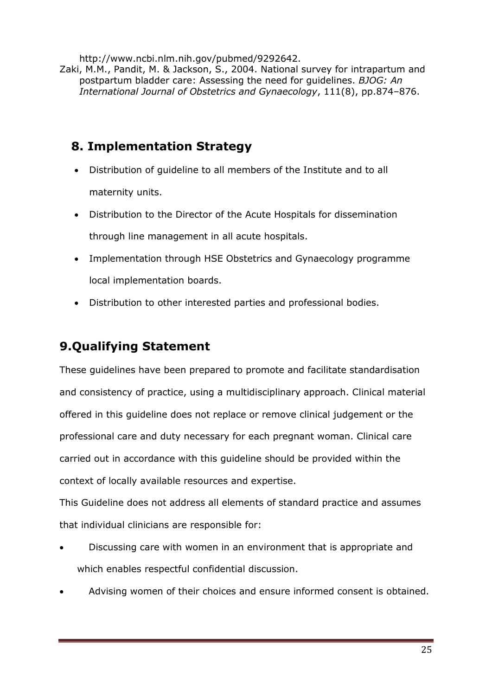http://www.ncbi.nlm.nih.gov/pubmed/9292642.

Zaki, M.M., Pandit, M. & Jackson, S., 2004. National survey for intrapartum and postpartum bladder care: Assessing the need for guidelines. *BJOG: An International Journal of Obstetrics and Gynaecology*, 111(8), pp.874–876.

## **8. Implementation Strategy**

- Distribution of guideline to all members of the Institute and to all maternity units.
- Distribution to the Director of the Acute Hospitals for dissemination through line management in all acute hospitals.
- Implementation through HSE Obstetrics and Gynaecology programme local implementation boards.
- Distribution to other interested parties and professional bodies.

# **9.Qualifying Statement**

These guidelines have been prepared to promote and facilitate standardisation and consistency of practice, using a multidisciplinary approach. Clinical material offered in this guideline does not replace or remove clinical judgement or the professional care and duty necessary for each pregnant woman. Clinical care carried out in accordance with this guideline should be provided within the context of locally available resources and expertise.

This Guideline does not address all elements of standard practice and assumes that individual clinicians are responsible for:

- Discussing care with women in an environment that is appropriate and which enables respectful confidential discussion.
- Advising women of their choices and ensure informed consent is obtained.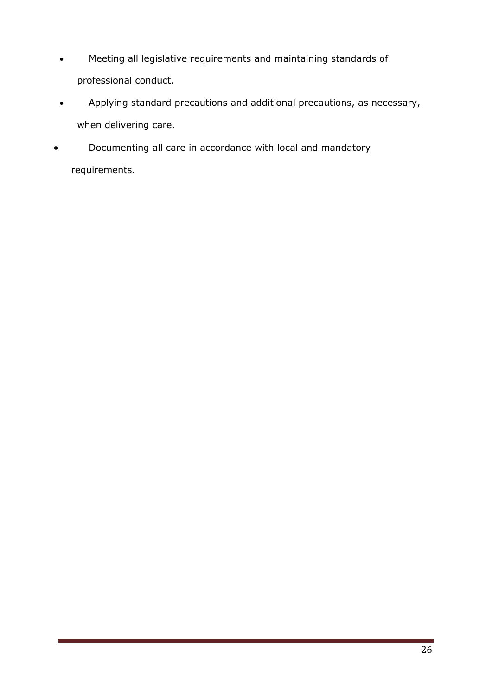- Meeting all legislative requirements and maintaining standards of professional conduct.
- Applying standard precautions and additional precautions, as necessary, when delivering care.
- Documenting all care in accordance with local and mandatory requirements.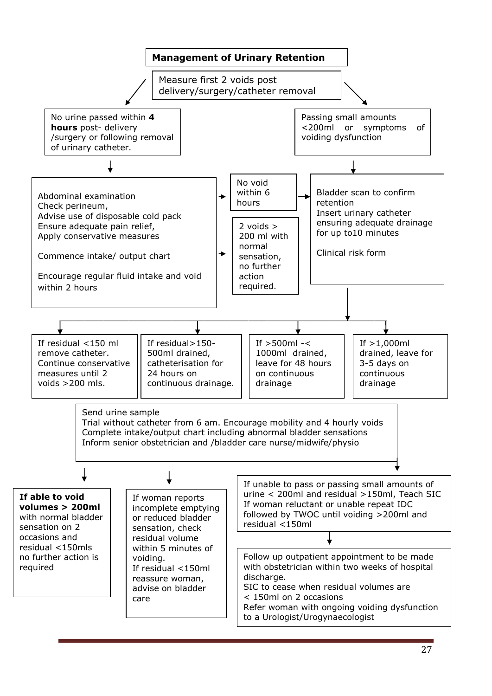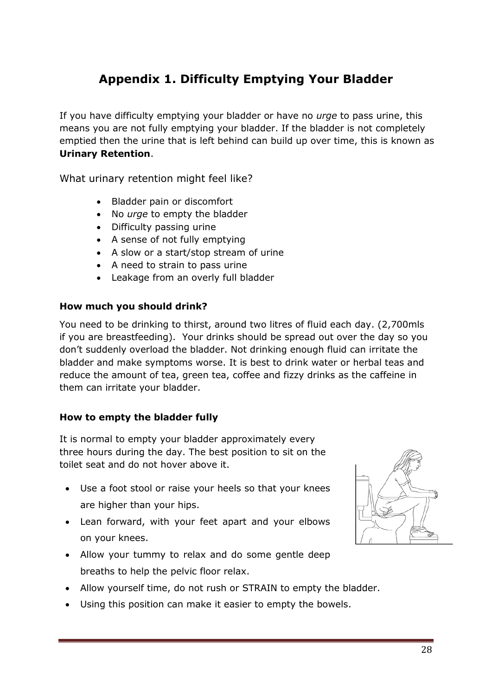## **Appendix 1. Difficulty Emptying Your Bladder**

If you have difficulty emptying your bladder or have no *urge* to pass urine, this means you are not fully emptying your bladder. If the bladder is not completely emptied then the urine that is left behind can build up over time, this is known as **Urinary Retention**.

What urinary retention might feel like?

- Bladder pain or discomfort
- No *urge* to empty the bladder
- Difficulty passing urine
- A sense of not fully emptying
- A slow or a start/stop stream of urine
- A need to strain to pass urine
- Leakage from an overly full bladder

#### **How much you should drink?**

You need to be drinking to thirst, around two litres of fluid each day. (2,700mls if you are breastfeeding). Your drinks should be spread out over the day so you don't suddenly overload the bladder. Not drinking enough fluid can irritate the bladder and make symptoms worse. It is best to drink water or herbal teas and reduce the amount of tea, green tea, coffee and fizzy drinks as the caffeine in them can irritate your bladder.

#### **How to empty the bladder fully**

It is normal to empty your bladder approximately every three hours during the day. The best position to sit on the toilet seat and do not hover above it.

- Use a foot stool or raise your heels so that your knees are higher than your hips.
- Lean forward, with your feet apart and your elbows on your knees.
- Allow your tummy to relax and do some gentle deep breaths to help the pelvic floor relax.



- Allow yourself time, do not rush or STRAIN to empty the bladder.
- Using this position can make it easier to empty the bowels.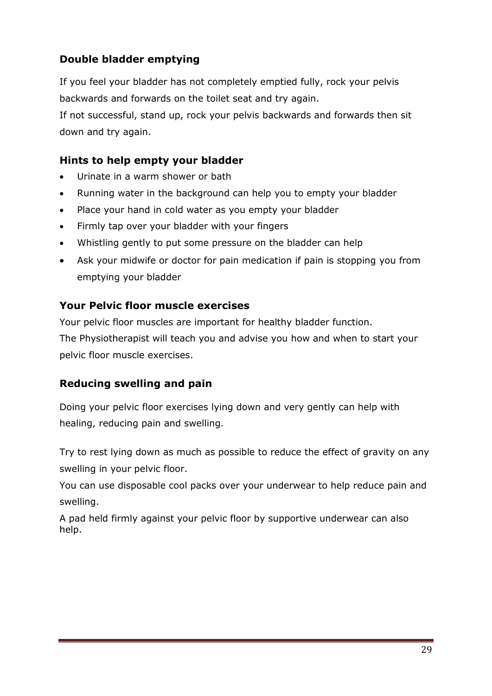#### **Double bladder emptying**

If you feel your bladder has not completely emptied fully, rock your pelvis backwards and forwards on the toilet seat and try again.

If not successful, stand up, rock your pelvis backwards and forwards then sit down and try again.

#### **Hints to help empty your bladder**

- Urinate in a warm shower or bath
- Running water in the background can help you to empty your bladder
- Place your hand in cold water as you empty your bladder
- Firmly tap over your bladder with your fingers
- Whistling gently to put some pressure on the bladder can help
- Ask your midwife or doctor for pain medication if pain is stopping you from emptying your bladder

#### **Your Pelvic floor muscle exercises**

Your pelvic floor muscles are important for healthy bladder function.

The Physiotherapist will teach you and advise you how and when to start your pelvic floor muscle exercises.

#### **Reducing swelling and pain**

Doing your pelvic floor exercises lying down and very gently can help with healing, reducing pain and swelling.

Try to rest lying down as much as possible to reduce the effect of gravity on any swelling in your pelvic floor.

You can use disposable cool packs over your underwear to help reduce pain and swelling.

A pad held firmly against your pelvic floor by supportive underwear can also help.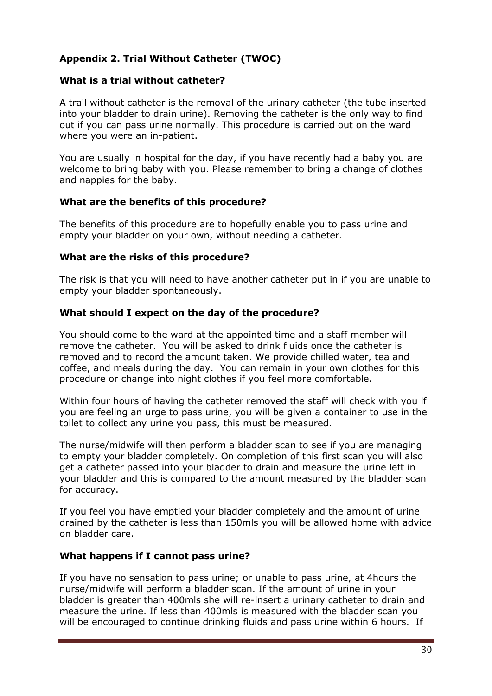#### **Appendix 2. Trial Without Catheter (TWOC)**

#### **What is a trial without catheter?**

A trail without catheter is the removal of the urinary catheter (the tube inserted into your bladder to drain urine). Removing the catheter is the only way to find out if you can pass urine normally. This procedure is carried out on the ward where you were an in-patient.

You are usually in hospital for the day, if you have recently had a baby you are welcome to bring baby with you. Please remember to bring a change of clothes and nappies for the baby.

#### **What are the benefits of this procedure?**

The benefits of this procedure are to hopefully enable you to pass urine and empty your bladder on your own, without needing a catheter.

#### **What are the risks of this procedure?**

The risk is that you will need to have another catheter put in if you are unable to empty your bladder spontaneously.

#### **What should I expect on the day of the procedure?**

You should come to the ward at the appointed time and a staff member will remove the catheter. You will be asked to drink fluids once the catheter is removed and to record the amount taken. We provide chilled water, tea and coffee, and meals during the day. You can remain in your own clothes for this procedure or change into night clothes if you feel more comfortable.

Within four hours of having the catheter removed the staff will check with you if you are feeling an urge to pass urine, you will be given a container to use in the toilet to collect any urine you pass, this must be measured.

The nurse/midwife will then perform a bladder scan to see if you are managing to empty your bladder completely. On completion of this first scan you will also get a catheter passed into your bladder to drain and measure the urine left in your bladder and this is compared to the amount measured by the bladder scan for accuracy.

If you feel you have emptied your bladder completely and the amount of urine drained by the catheter is less than 150mls you will be allowed home with advice on bladder care.

#### **What happens if I cannot pass urine?**

If you have no sensation to pass urine; or unable to pass urine, at 4hours the nurse/midwife will perform a bladder scan. If the amount of urine in your bladder is greater than 400mls she will re-insert a urinary catheter to drain and measure the urine. If less than 400mls is measured with the bladder scan you will be encouraged to continue drinking fluids and pass urine within 6 hours. If